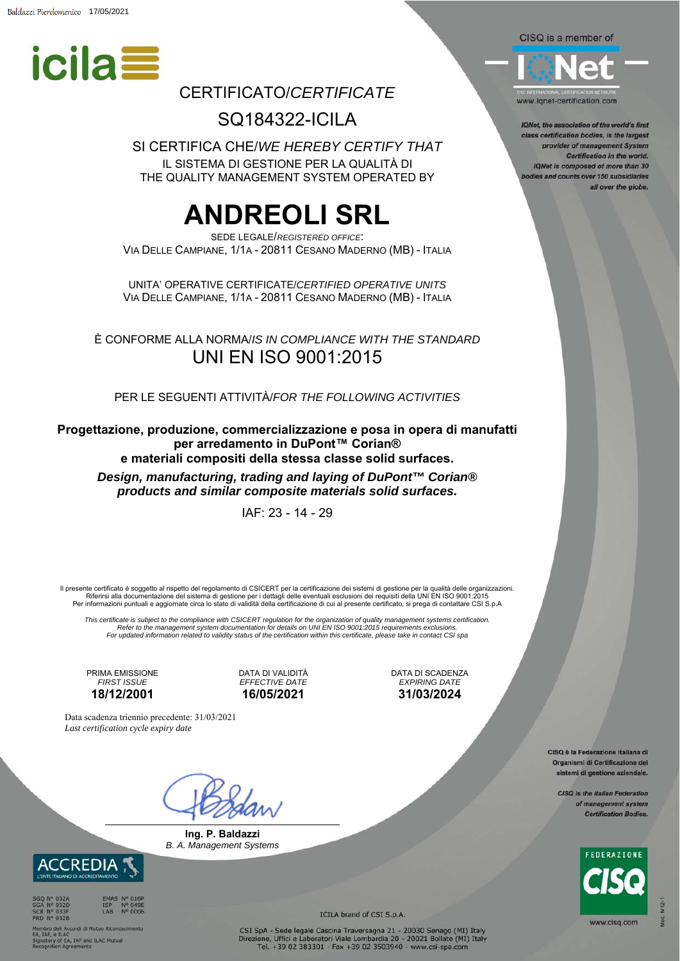

### CERTIFICATO/*CERTIFICATE*

SQ184322-ICILA

SI CERTIFICA CHE/*WE HEREBY CERTIFY THAT* IL SISTEMA DI GESTIONE PER LA QUALITÀ DI THE QUALITY MANAGEMENT SYSTEM OPERATED BY

## **ANDREOLI SRL**

SEDE LEGALE/*REGISTERED OFFICE*: VIA DELLE CAMPIANE, 1/1A - 20811 CESANO MADERNO (MB) - ITALIA

UNITA' OPERATIVE CERTIFICATE/*CERTIFIED OPERATIVE UNITS* VIA DELLE CAMPIANE, 1/1A - 20811 CESANO MADERNO (MB) - ITALIA

È CONFORME ALLA NORMA/*IS IN COMPLIANCE WITH THE STANDARD* UNI EN ISO 9001:2015

PER LE SEGUENTI ATTIVITÀ/*FOR THE FOLLOWING ACTIVITIES* 

**Progettazione, produzione, commercializzazione e posa in opera di manufatti per arredamento in DuPont™ Corian® e materiali compositi della stessa classe solid surfaces.** 

*Design, manufacturing, trading and laying of DuPont™ Corian® products and similar composite materials solid surfaces.* 

IAF: 23 - 14 - 29

Il presente certificato è soggetto al rispetto del regolamento di CSICERT per la certificazione dei sistemi di gestione per la qualità delle organizzazioni.<br>Riferirsi alla documentazione del sistema di gestione per i detta Per informazioni puntuali e aggiornate circa lo stato di validità della certificazione di cui al presente certificato, si prega di contattare CSI S.p.A

This certificate is subject to the compliance with CSICERT regulation for the organization of quality management systems certification.<br>Refer to the management system documentation for details on UNI EN ISO 9001:2015 requi *For updated information related to validity status of the certification within this certificate, please take in contact CSI spa*

PRIMA EMISSIONE *FIRST ISSUE*  **18/12/2001** 

DATA DI VALIDITÀ *EFFECTIVE DATE*  **16/05/2021** 

DATA DI SCADENZA *EXPIRING DATE*  **31/03/2024** 

Data scadenza triennio precedente: 31/03/2021 *Last certification cycle expiry date*

**Ing. P. Baldazzi**  *B. A. Management Systems*



e ILAC<br>y of EA, IAF and ILAC Mutual<br>ion Agreements

ICILA brand of CSI S.p.A.

CSI SpA - Sede legale Cascina Traversagna 21 - 20030 Senago (MI) Italy<br>Direzione, Uffici e Laboratori Viale Lombardia 20 - 20021 Bollate (MI) Italy<br>Tel. +39 02 383301 - Fax +39 02 3503940 - www.csi-spa.com

CISQ is a member of



www.ignet-certification.com

IQNet, the association of the world's first class certification bodies, is the largest provider of management System Certification in the world. IQNet is composed of more than 30 odies and counts over 150 subsidiaries all over the globe.

> CISQ è la Federazione Italiana di Organismi di Certificazione del sistemi di gestione aziendale.

> > CISQ is the Italian Federation of management system **Certification Bodies.**